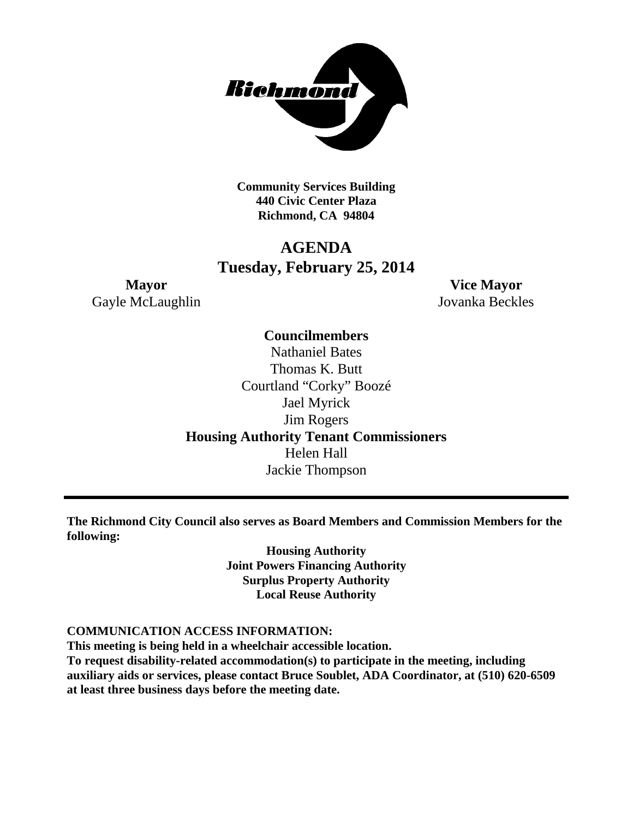

**Community Services Building 440 Civic Center Plaza Richmond, CA 94804**

# **AGENDA Tuesday, February 25, 2014**

**Mayor Vice Mayor** Gayle McLaughlin Jovanka Beckles

## **Councilmembers**

Nathaniel Bates Thomas K. Butt Courtland "Corky" Boozé Jael Myrick Jim Rogers **Housing Authority Tenant Commissioners** Helen Hall Jackie Thompson

**The Richmond City Council also serves as Board Members and Commission Members for the following:**

> **Housing Authority Joint Powers Financing Authority Surplus Property Authority Local Reuse Authority**

### **COMMUNICATION ACCESS INFORMATION:**

**This meeting is being held in a wheelchair accessible location. To request disability-related accommodation(s) to participate in the meeting, including auxiliary aids or services, please contact Bruce Soublet, ADA Coordinator, at (510) 620-6509 at least three business days before the meeting date.**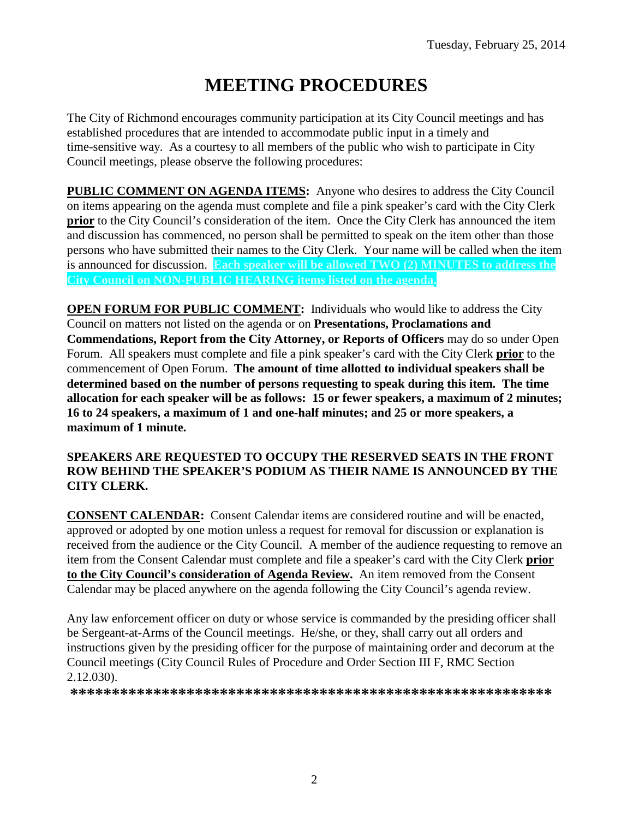# **MEETING PROCEDURES**

The City of Richmond encourages community participation at its City Council meetings and has established procedures that are intended to accommodate public input in a timely and time-sensitive way. As a courtesy to all members of the public who wish to participate in City Council meetings, please observe the following procedures:

**PUBLIC COMMENT ON AGENDA ITEMS:** Anyone who desires to address the City Council on items appearing on the agenda must complete and file a pink speaker's card with the City Clerk **prior** to the City Council's consideration of the item. Once the City Clerk has announced the item and discussion has commenced, no person shall be permitted to speak on the item other than those persons who have submitted their names to the City Clerk. Your name will be called when the item is announced for discussion. **Each speaker will be allowed TWO (2) MINUTES to address the City Council on NON-PUBLIC HEARING items listed on the agenda.**

**OPEN FORUM FOR PUBLIC COMMENT:** Individuals who would like to address the City Council on matters not listed on the agenda or on **Presentations, Proclamations and Commendations, Report from the City Attorney, or Reports of Officers** may do so under Open Forum. All speakers must complete and file a pink speaker's card with the City Clerk **prior** to the commencement of Open Forum. **The amount of time allotted to individual speakers shall be determined based on the number of persons requesting to speak during this item. The time allocation for each speaker will be as follows: 15 or fewer speakers, a maximum of 2 minutes; 16 to 24 speakers, a maximum of 1 and one-half minutes; and 25 or more speakers, a maximum of 1 minute.**

### **SPEAKERS ARE REQUESTED TO OCCUPY THE RESERVED SEATS IN THE FRONT ROW BEHIND THE SPEAKER'S PODIUM AS THEIR NAME IS ANNOUNCED BY THE CITY CLERK.**

**CONSENT CALENDAR:** Consent Calendar items are considered routine and will be enacted, approved or adopted by one motion unless a request for removal for discussion or explanation is received from the audience or the City Council. A member of the audience requesting to remove an item from the Consent Calendar must complete and file a speaker's card with the City Clerk **prior to the City Council's consideration of Agenda Review.** An item removed from the Consent Calendar may be placed anywhere on the agenda following the City Council's agenda review.

Any law enforcement officer on duty or whose service is commanded by the presiding officer shall be Sergeant-at-Arms of the Council meetings. He/she, or they, shall carry out all orders and instructions given by the presiding officer for the purpose of maintaining order and decorum at the Council meetings (City Council Rules of Procedure and Order Section III F, RMC Section 2.12.030).

**\*\*\*\*\*\*\*\*\*\*\*\*\*\*\*\*\*\*\*\*\*\*\*\*\*\*\*\*\*\*\*\*\*\*\*\*\*\*\*\*\*\*\*\*\*\*\*\*\*\*\*\*\*\*\*\*\*\***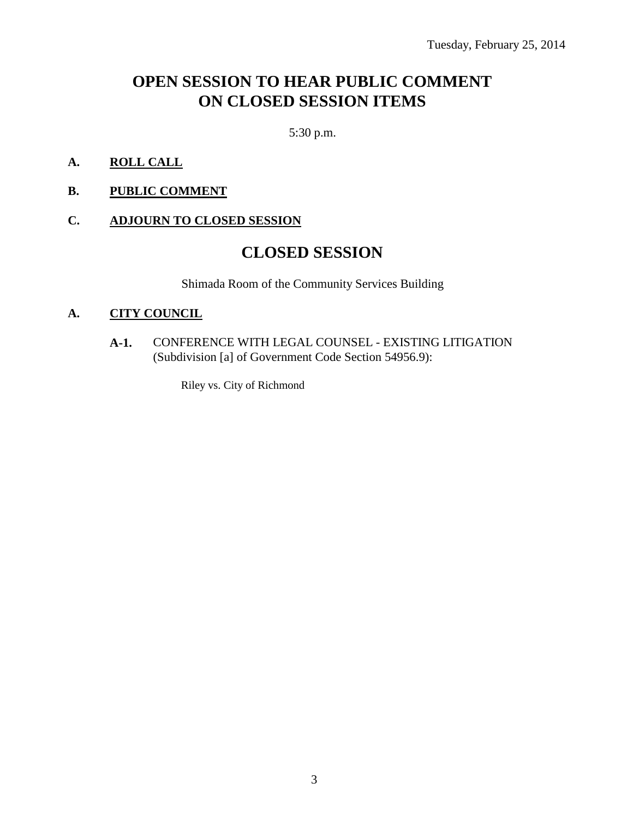# **OPEN SESSION TO HEAR PUBLIC COMMENT ON CLOSED SESSION ITEMS**

5:30 p.m.

- **A. ROLL CALL**
- **B. PUBLIC COMMENT**

#### **C. ADJOURN TO CLOSED SESSION**

## **CLOSED SESSION**

Shimada Room of the Community Services Building

#### **A. CITY COUNCIL**

**A-1.** CONFERENCE WITH LEGAL COUNSEL - EXISTING LITIGATION (Subdivision [a] of Government Code Section 54956.9):

Riley vs. City of Richmond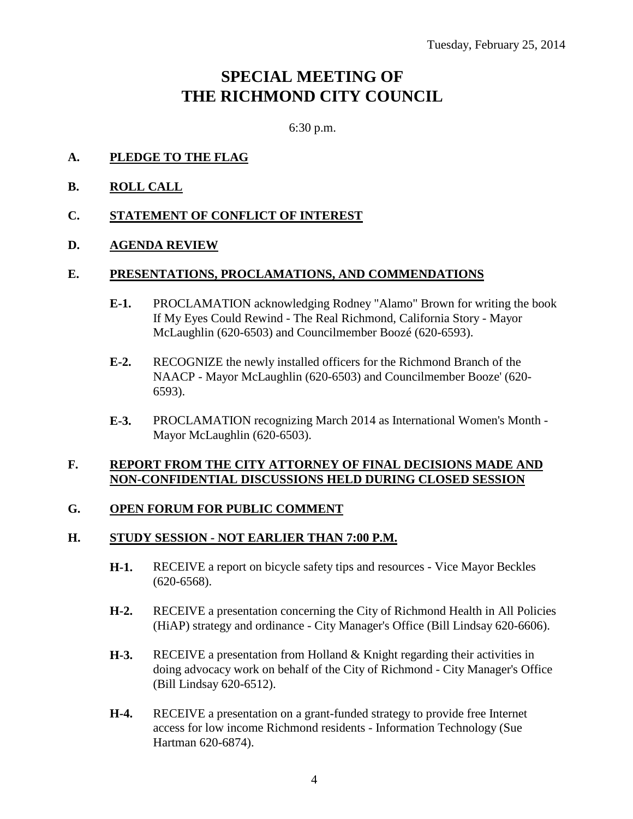# **SPECIAL MEETING OF THE RICHMOND CITY COUNCIL**

6:30 p.m.

- **A. PLEDGE TO THE FLAG**
- **B. ROLL CALL**
- **C. STATEMENT OF CONFLICT OF INTEREST**

### **D. AGENDA REVIEW**

#### **E. PRESENTATIONS, PROCLAMATIONS, AND COMMENDATIONS**

- **E-1.** PROCLAMATION acknowledging Rodney "Alamo" Brown for writing the book If My Eyes Could Rewind - The Real Richmond, California Story - Mayor McLaughlin (620-6503) and Councilmember Boozé (620-6593).
- **E-2.** RECOGNIZE the newly installed officers for the Richmond Branch of the NAACP - Mayor McLaughlin (620-6503) and Councilmember Booze' (620- 6593).
- **E-3.** PROCLAMATION recognizing March 2014 as International Women's Month Mayor McLaughlin (620-6503).

### **F. REPORT FROM THE CITY ATTORNEY OF FINAL DECISIONS MADE AND NON-CONFIDENTIAL DISCUSSIONS HELD DURING CLOSED SESSION**

### **G. OPEN FORUM FOR PUBLIC COMMENT**

### **H. STUDY SESSION - NOT EARLIER THAN 7:00 P.M.**

- **H-1.** RECEIVE a report on bicycle safety tips and resources Vice Mayor Beckles (620-6568).
- **H-2.** RECEIVE a presentation concerning the City of Richmond Health in All Policies (HiAP) strategy and ordinance - City Manager's Office (Bill Lindsay 620-6606).
- **H-3.** RECEIVE a presentation from Holland & Knight regarding their activities in doing advocacy work on behalf of the City of Richmond - City Manager's Office (Bill Lindsay 620-6512).
- **H-4.** RECEIVE a presentation on a grant-funded strategy to provide free Internet access for low income Richmond residents - Information Technology (Sue Hartman 620-6874).